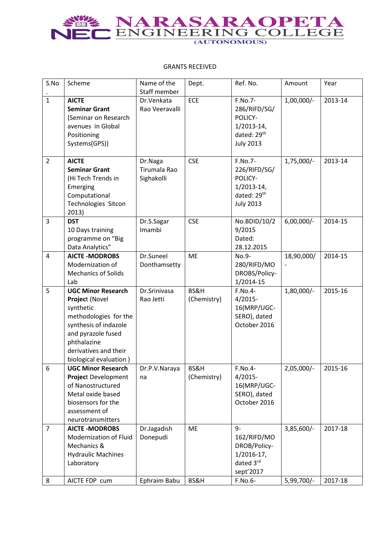## NEC ENGINEERING COLLEGE

## GRANTS RECEIVED

| S.No           | Scheme                                                                                                                                                                                             | Name of the<br>Staff member                  | Dept.               | Ref. No.                                                                                 | Amount       | Year    |
|----------------|----------------------------------------------------------------------------------------------------------------------------------------------------------------------------------------------------|----------------------------------------------|---------------------|------------------------------------------------------------------------------------------|--------------|---------|
| $\mathbf{1}$   | <b>AICTE</b><br><b>Seminar Grant</b><br>(Seminar on Research<br>avenues in Global<br>Positioning<br>Systems(GPS))                                                                                  | Dr.Venkata<br>Rao Veeravalli                 | ECE                 | F.No.7-<br>286/RIFD/SG/<br>POLICY-<br>$1/2013 - 14$ ,<br>dated: 29th<br><b>July 2013</b> | 1,00,000/-   | 2013-14 |
| $\overline{2}$ | <b>AICTE</b><br><b>Seminar Grant</b><br>(Hi Tech Trends in<br>Emerging<br>Computational<br>Technologies Sitcon<br>2013)                                                                            | Dr.Naga<br><b>Tirumala Rao</b><br>Sighakolli | <b>CSE</b>          | F.No.7-<br>226/RIFD/SG/<br>POLICY-<br>$1/2013 - 14$ ,<br>dated: 29th<br><b>July 2013</b> | 1,75,000/-   | 2013-14 |
| 3              | <b>DST</b><br>10 Days training<br>programme on "Big<br>Data Analytics"                                                                                                                             | Dr.S.Sagar<br>Imambi                         | <b>CSE</b>          | No.BDID/10/2<br>9/2015<br>Dated:<br>28.12.2015                                           | $6,00,000/-$ | 2014-15 |
| $\overline{4}$ | <b>AICTE-MODROBS</b><br>Modernization of<br><b>Mechanics of Solids</b><br>Lab                                                                                                                      | Dr.Suneel<br>Donthamsetty                    | <b>ME</b>           | No.9-<br>280/RIFD/MO<br>DROBS/Policy-<br>1/2014-15                                       | 18,90,000/   | 2014-15 |
| 5              | <b>UGC Minor Research</b><br>Project (Novel<br>synthetic<br>methodologies for the<br>synthesis of indazole<br>and pyrazole fused<br>phthalazine<br>derivatives and their<br>biological evaluation) | Dr.Srinivasa<br>Rao Jetti                    | BS&H<br>(Chemistry) | F.No.4-<br>$4/2015-$<br>16(MRP/UGC-<br>SERO), dated<br>October 2016                      | 1,80,000/-   | 2015-16 |
| 6              | <b>UGC Minor Research</b><br><b>Project Development</b><br>of Nanostructured<br>Metal oxide based<br>biosensors for the<br>assessment of<br>neurotransmitters                                      | Dr.P.V.Naraya<br>na                          | BS&H<br>(Chemistry) | F.No.4-<br>$4/2015-$<br>16(MRP/UGC-<br>SERO), dated<br>October 2016                      | $2,05,000/-$ | 2015-16 |
| $\overline{7}$ | <b>AICTE-MODROBS</b><br>Modernization of Fluid<br>Mechanics &<br><b>Hydraulic Machines</b><br>Laboratory                                                                                           | Dr.Jagadish<br>Donepudi                      | ME                  | $9-$<br>162/RIFD/MO<br>DROB/Policy-<br>$1/2016 - 17$ ,<br>dated 3rd<br>sept'2017         | 3,85,600/-   | 2017-18 |
| 8              | AICTE FDP cum                                                                                                                                                                                      | Ephraim Babu                                 | BS&H                | F.No.6-                                                                                  | 5,99,700/-   | 2017-18 |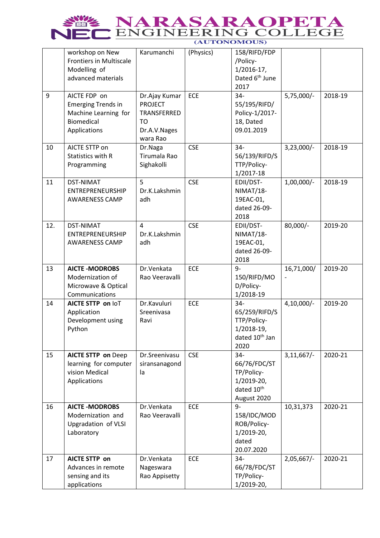| <b>SWE NARASARAOPETA</b> |  |  |  |  |
|--------------------------|--|--|--|--|
| NEC ENGINEERING COLLEGE  |  |  |  |  |
| (AUTONOMOUS)             |  |  |  |  |

|     | workshop on New<br><b>Frontiers in Multiscale</b><br>Modelling of<br>advanced materials                | Karumanchi                                                                       | (Physics)  | 158/RIFD/FDP<br>/Policy-<br>$1/2016 - 17$ ,<br>Dated 6 <sup>th</sup> June<br>2017           |               |         |
|-----|--------------------------------------------------------------------------------------------------------|----------------------------------------------------------------------------------|------------|---------------------------------------------------------------------------------------------|---------------|---------|
| 9   | AICTE FDP on<br><b>Emerging Trends in</b><br>Machine Learning for<br><b>Biomedical</b><br>Applications | Dr.Ajay Kumar<br><b>PROJECT</b><br>TRANSFERRED<br>TO<br>Dr.A.V.Nages<br>wara Rao | ECE        | $34 -$<br>55/195/RIFD/<br>Policy-1/2017-<br>18, Dated<br>09.01.2019                         | $5,75,000/-$  | 2018-19 |
| 10  | AICTE STTP on<br>Statistics with R<br>Programming                                                      | Dr.Naga<br>Tirumala Rao<br>Sighakolli                                            | <b>CSE</b> | $34 -$<br>56/139/RIFD/S<br>TTP/Policy-<br>1/2017-18                                         | $3,23,000/-$  | 2018-19 |
| 11  | <b>DST-NIMAT</b><br><b>ENTREPRENEURSHIP</b><br><b>AWARENESS CAMP</b>                                   | 5<br>Dr.K.Lakshmin<br>adh                                                        | <b>CSE</b> | EDII/DST-<br>NIMAT/18-<br>19EAC-01,<br>dated 26-09-<br>2018                                 | $1,00,000/-$  | 2018-19 |
| 12. | <b>DST-NIMAT</b><br>ENTREPRENEURSHIP<br><b>AWARENESS CAMP</b>                                          | 4<br>Dr.K.Lakshmin<br>adh                                                        | <b>CSE</b> | EDII/DST-<br>NIMAT/18-<br>19EAC-01,<br>dated 26-09-<br>2018                                 | 80,000/-      | 2019-20 |
| 13  | <b>AICTE-MODROBS</b><br>Modernization of<br>Microwave & Optical<br>Communications                      | Dr.Venkata<br>Rao Veeravalli                                                     | <b>ECE</b> | $9-$<br>150/RIFD/MO<br>D/Policy-<br>1/2018-19                                               | 16,71,000/    | 2019-20 |
| 14  | AICTE STTP on IoT<br>Application<br>Development using<br>Python                                        | Dr.Kavuluri<br>Sreenivasa<br>Ravi                                                | ECE        | $34 -$<br>65/259/RIFD/S<br>TTP/Policy-<br>1/2018-19,<br>dated 10 <sup>th</sup> Jan<br>2020  | $4,10,000/-$  | 2019-20 |
| 15  | <b>AICTE STTP on Deep</b><br>learning for computer<br>vision Medical<br>Applications                   | Dr.Sreenivasu<br>siransanagond<br>la                                             | <b>CSE</b> | $34 -$<br>66/76/FDC/ST<br>TP/Policy-<br>1/2019-20,<br>dated 10 <sup>th</sup><br>August 2020 | 3,11,667/     | 2020-21 |
| 16  | <b>AICTE-MODROBS</b><br>Modernization and<br><b>Upgradation of VLSI</b><br>Laboratory                  | Dr.Venkata<br>Rao Veeravalli                                                     | ECE        | 9-<br>158/IDC/MOD<br>ROB/Policy-<br>1/2019-20,<br>dated<br>20.07.2020                       | 10,31,373     | 2020-21 |
| 17  | <b>AICTE STTP on</b><br>Advances in remote<br>sensing and its<br>applications                          | Dr.Venkata<br>Nageswara<br>Rao Appisetty                                         | ECE        | $34 -$<br>66/78/FDC/ST<br>TP/Policy-<br>1/2019-20,                                          | $2,05,667/$ - | 2020-21 |